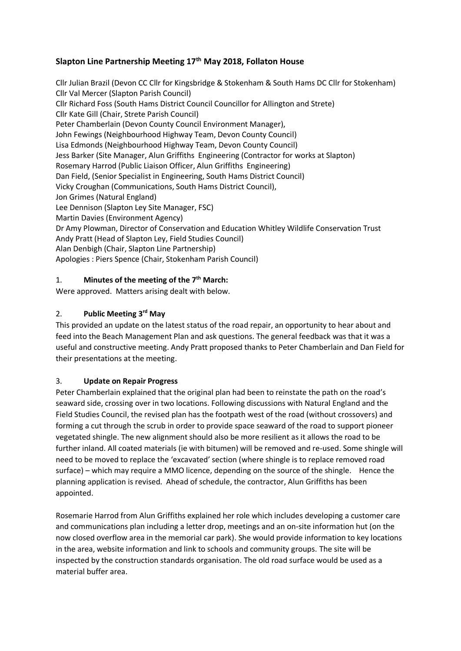# **Slapton Line Partnership Meeting 17th May 2018, Follaton House**

Cllr Julian Brazil (Devon CC Cllr for Kingsbridge & Stokenham & South Hams DC Cllr for Stokenham) Cllr Val Mercer (Slapton Parish Council) Cllr Richard Foss (South Hams District Council Councillor for Allington and Strete) Cllr Kate Gill (Chair, Strete Parish Council) Peter Chamberlain (Devon County Council Environment Manager), John Fewings (Neighbourhood Highway Team, Devon County Council) Lisa Edmonds (Neighbourhood Highway Team, Devon County Council) Jess Barker (Site Manager, Alun Griffiths Engineering (Contractor for works at Slapton) Rosemary Harrod (Public Liaison Officer, Alun Griffiths Engineering) Dan Field, (Senior Specialist in Engineering, South Hams District Council) Vicky Croughan (Communications, South Hams District Council), Jon Grimes (Natural England) Lee Dennison (Slapton Ley Site Manager, FSC) Martin Davies (Environment Agency) Dr Amy Plowman, Director of Conservation and Education Whitley Wildlife Conservation Trust Andy Pratt (Head of Slapton Ley, Field Studies Council) Alan Denbigh (Chair, Slapton Line Partnership) Apologies : Piers Spence (Chair, Stokenham Parish Council)

#### 1. **Minutes of the meeting of the 7th March:**

Were approved. Matters arising dealt with below.

### 2. **Public Meeting 3rd May**

This provided an update on the latest status of the road repair, an opportunity to hear about and feed into the Beach Management Plan and ask questions. The general feedback was that it was a useful and constructive meeting. Andy Pratt proposed thanks to Peter Chamberlain and Dan Field for their presentations at the meeting.

#### 3. **Update on Repair Progress**

Peter Chamberlain explained that the original plan had been to reinstate the path on the road's seaward side, crossing over in two locations. Following discussions with Natural England and the Field Studies Council, the revised plan has the footpath west of the road (without crossovers) and forming a cut through the scrub in order to provide space seaward of the road to support pioneer vegetated shingle. The new alignment should also be more resilient as it allows the road to be further inland. All coated materials (ie with bitumen) will be removed and re-used. Some shingle will need to be moved to replace the 'excavated' section (where shingle is to replace removed road surface) – which may require a MMO licence, depending on the source of the shingle. Hence the planning application is revised. Ahead of schedule, the contractor, Alun Griffiths has been appointed.

Rosemarie Harrod from Alun Griffiths explained her role which includes developing a customer care and communications plan including a letter drop, meetings and an on-site information hut (on the now closed overflow area in the memorial car park). She would provide information to key locations in the area, website information and link to schools and community groups. The site will be inspected by the construction standards organisation. The old road surface would be used as a material buffer area.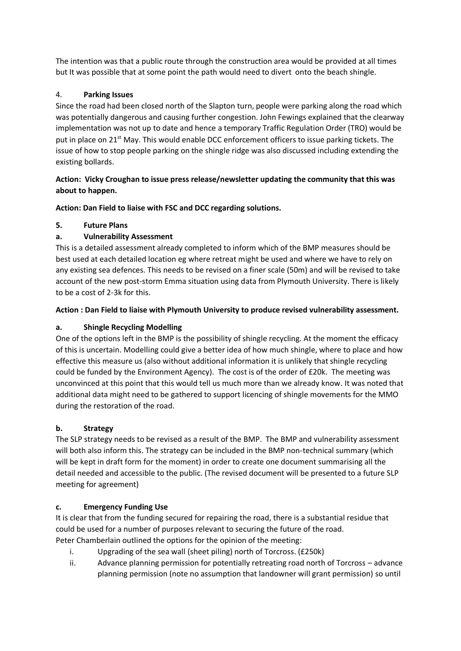The intention was that a public route through the construction area would be provided at all times but It was possible that at some point the path would need to divert onto the beach shingle.

# 4. **Parking Issues**

Since the road had been closed north of the Slapton turn, people were parking along the road which was potentially dangerous and causing further congestion. John Fewings explained that the clearway implementation was not up to date and hence a temporary Traffic Regulation Order (TRO) would be put in place on 21<sup>st</sup> May. This would enable DCC enforcement officers to issue parking tickets. The issue of how to stop people parking on the shingle ridge was also discussed including extending the existing bollards.

## **Action: Vicky Croughan to issue press release/newsletter updating the community that this was about to happen.**

**Action: Dan Field to liaise with FSC and DCC regarding solutions.**

### **5. Future Plans**

# **a. Vulnerability Assessment**

This is a detailed assessment already completed to inform which of the BMP measures should be best used at each detailed location eg where retreat might be used and where we have to rely on any existing sea defences. This needs to be revised on a finer scale (50m) and will be revised to take account of the new post-storm Emma situation using data from Plymouth University. There is likely to be a cost of 2-3k for this.

### **Action : Dan Field to liaise with Plymouth University to produce revised vulnerability assessment.**

# **a. Shingle Recycling Modelling**

One of the options left in the BMP is the possibility of shingle recycling. At the moment the efficacy of this is uncertain. Modelling could give a better idea of how much shingle, where to place and how effective this measure us (also without additional information it is unlikely that shingle recycling could be funded by the Environment Agency). The cost is of the order of £20k. The meeting was unconvinced at this point that this would tell us much more than we already know. It was noted that additional data might need to be gathered to support licencing of shingle movements for the MMO during the restoration of the road.

# **b. Strategy**

The SLP strategy needs to be revised as a result of the BMP. The BMP and vulnerability assessment will both also inform this. The strategy can be included in the BMP non-technical summary (which will be kept in draft form for the moment) in order to create one document summarising all the detail needed and accessible to the public. (The revised document will be presented to a future SLP meeting for agreement)

# **c. Emergency Funding Use**

It is clear that from the funding secured for repairing the road, there is a substantial residue that could be used for a number of purposes relevant to securing the future of the road. Peter Chamberlain outlined the options for the opinion of the meeting:

- i. Upgrading of the sea wall (sheet piling) north of Torcross. (£250k)
- ii. Advance planning permission for potentially retreating road north of Torcross advance planning permission (note no assumption that landowner will grant permission) so until